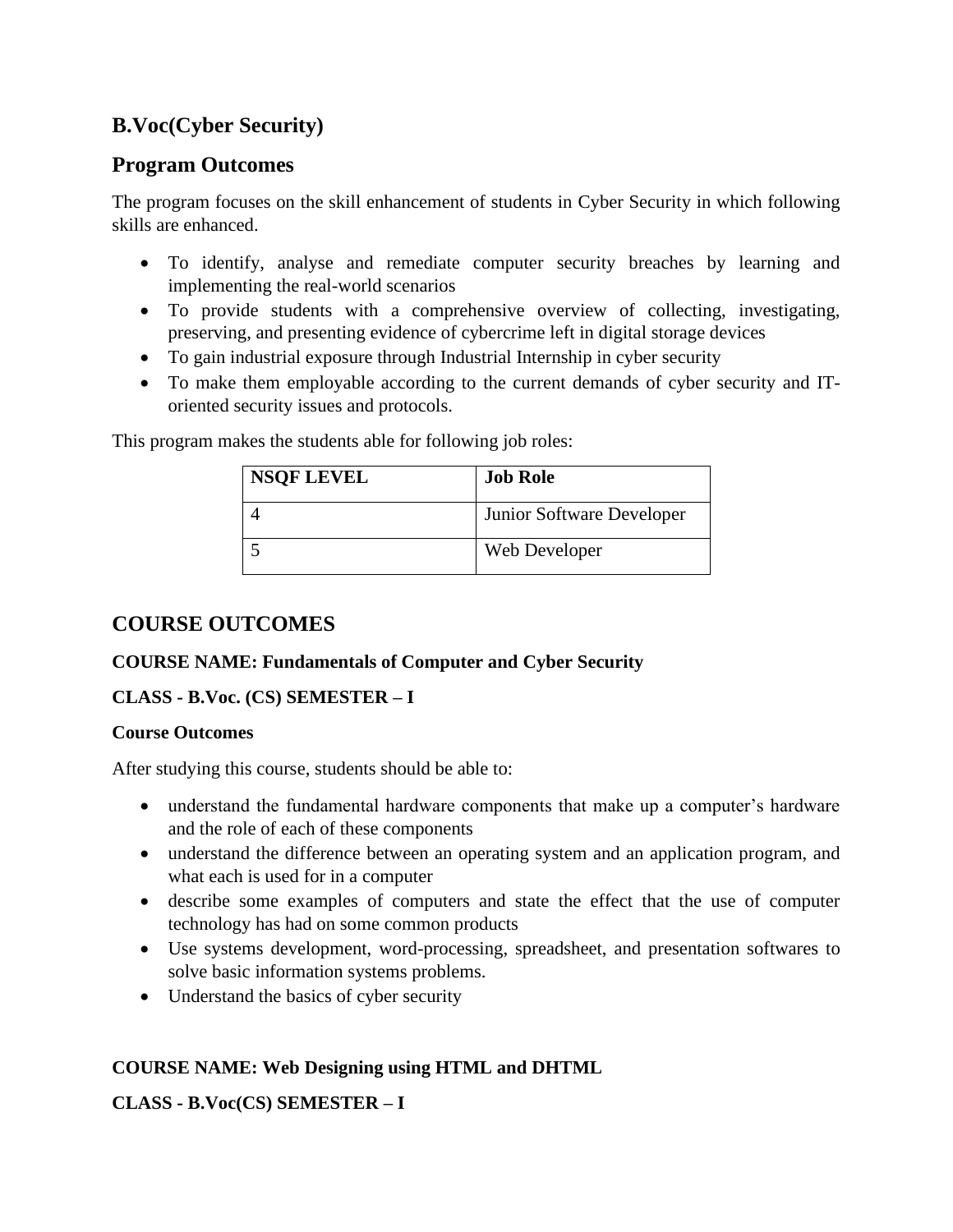# **B.Voc(Cyber Security)**

# **Program Outcomes**

The program focuses on the skill enhancement of students in Cyber Security in which following skills are enhanced.

- To identify, analyse and remediate computer security breaches by learning and implementing the real-world scenarios
- To provide students with a comprehensive overview of collecting, investigating, preserving, and presenting evidence of cybercrime left in digital storage devices
- To gain industrial exposure through Industrial Internship in cyber security
- To make them employable according to the current demands of cyber security and IToriented security issues and protocols.

This program makes the students able for following job roles:

| <b>NSQF LEVEL</b> | <b>Job Role</b>           |
|-------------------|---------------------------|
|                   | Junior Software Developer |
|                   | Web Developer             |

# **COURSE OUTCOMES**

## **COURSE NAME: Fundamentals of Computer and Cyber Security**

# **CLASS - B.Voc. (CS) SEMESTER – I**

## **Course Outcomes**

After studying this course, students should be able to:

- understand the fundamental hardware components that make up a computer's hardware and the role of each of these components
- understand the difference between an operating system and an application program, and what each is used for in a computer
- describe some examples of computers and state the effect that the use of computer technology has had on some common products
- Use systems development, word-processing, spreadsheet, and presentation softwares to solve basic information systems problems.
- Understand the basics of cyber security

# **COURSE NAME: Web Designing using HTML and DHTML**

## **CLASS - B.Voc(CS) SEMESTER – I**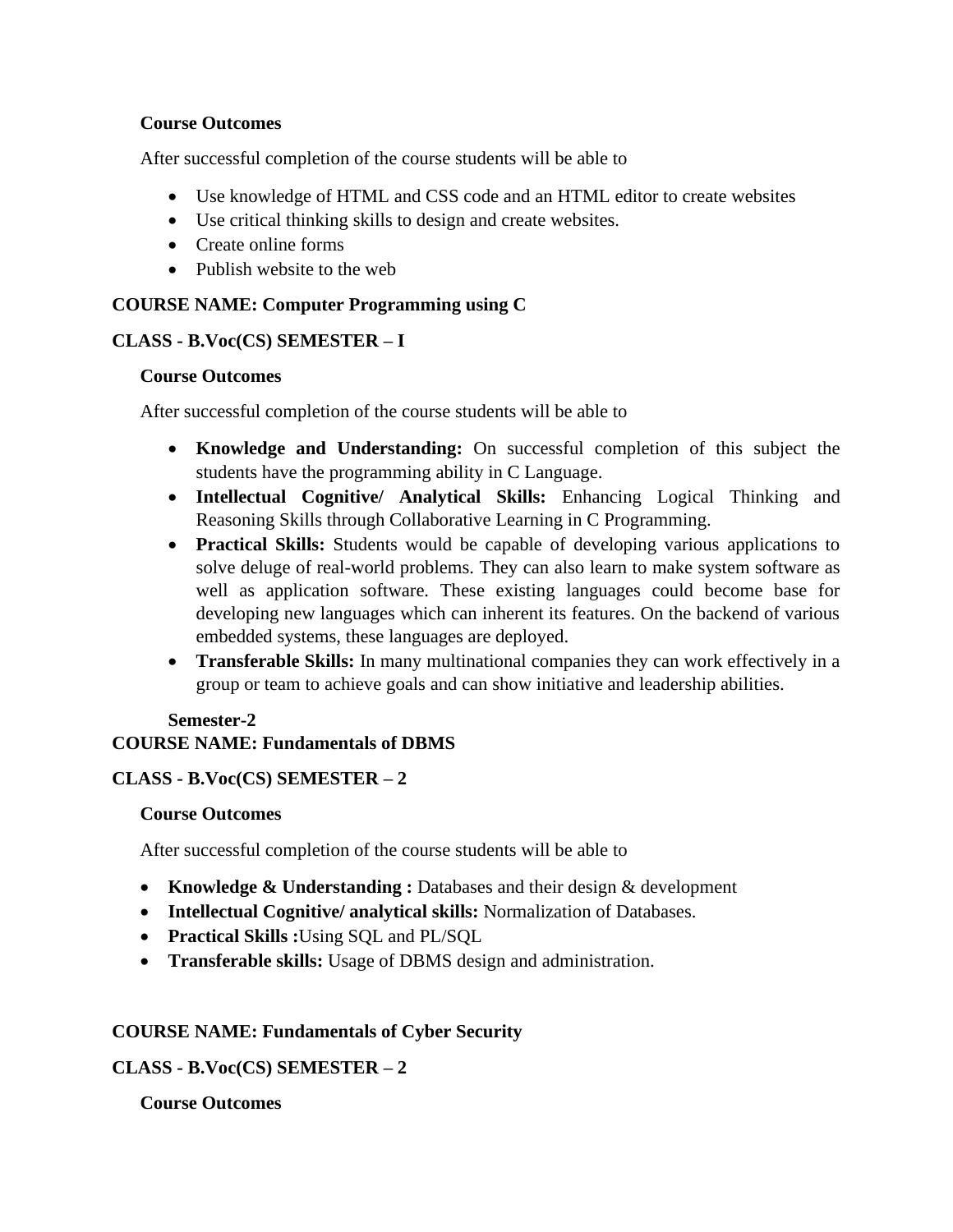## **Course Outcomes**

After successful completion of the course students will be able to

- Use knowledge of HTML and CSS code and an HTML editor to create websites
- Use critical thinking skills to design and create websites.
- Create online forms
- Publish website to the web

## **COURSE NAME: Computer Programming using C**

## **CLASS - B.Voc(CS) SEMESTER – I**

#### **Course Outcomes**

After successful completion of the course students will be able to

- **Knowledge and Understanding:** On successful completion of this subject the students have the programming ability in C Language.
- **Intellectual Cognitive/ Analytical Skills:** Enhancing Logical Thinking and Reasoning Skills through Collaborative Learning in C Programming.
- **Practical Skills:** Students would be capable of developing various applications to solve deluge of real-world problems. They can also learn to make system software as well as application software. These existing languages could become base for developing new languages which can inherent its features. On the backend of various embedded systems, these languages are deployed.
- **Transferable Skills:** In many multinational companies they can work effectively in a group or team to achieve goals and can show initiative and leadership abilities.

## **Semester-2 COURSE NAME: Fundamentals of DBMS**

## **CLASS - B.Voc(CS) SEMESTER – 2**

## **Course Outcomes**

After successful completion of the course students will be able to

- **Knowledge & Understanding :** Databases and their design & development
- **Intellectual Cognitive/ analytical skills:** Normalization of Databases.
- **Practical Skills :**Using SQL and PL/SQL
- **Transferable skills:** Usage of DBMS design and administration.

## **COURSE NAME: Fundamentals of Cyber Security**

## **CLASS - B.Voc(CS) SEMESTER – 2**

## **Course Outcomes**